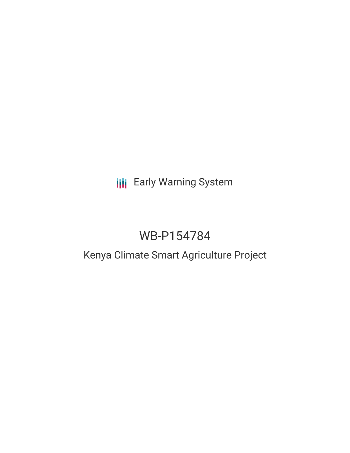## **III** Early Warning System

# WB-P154784

## Kenya Climate Smart Agriculture Project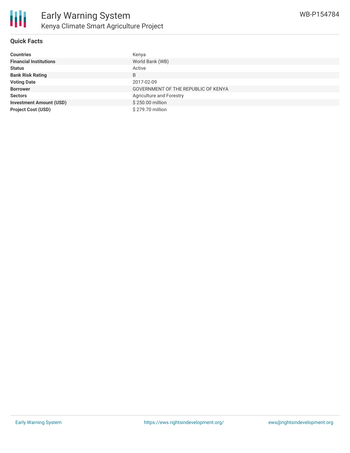

#### **Quick Facts**

| <b>Countries</b>               | Kenya                               |
|--------------------------------|-------------------------------------|
| <b>Financial Institutions</b>  | World Bank (WB)                     |
| <b>Status</b>                  | Active                              |
| <b>Bank Risk Rating</b>        | B                                   |
| <b>Voting Date</b>             | 2017-02-09                          |
| <b>Borrower</b>                | GOVERNMENT OF THE REPUBLIC OF KENYA |
| <b>Sectors</b>                 | <b>Agriculture and Forestry</b>     |
| <b>Investment Amount (USD)</b> | \$250,00 million                    |
| <b>Project Cost (USD)</b>      | \$279.70 million                    |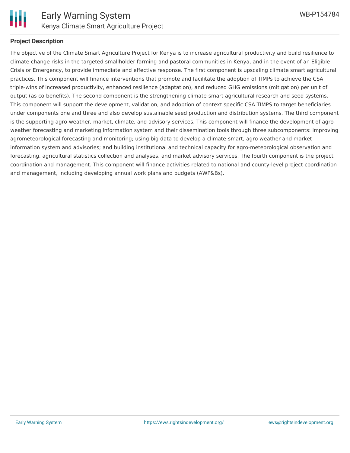

#### **Project Description**

The objective of the Climate Smart Agriculture Project for Kenya is to increase agricultural productivity and build resilience to climate change risks in the targeted smallholder farming and pastoral communities in Kenya, and in the event of an Eligible Crisis or Emergency, to provide immediate and effective response. The first component is upscaling climate smart agricultural practices. This component will finance interventions that promote and facilitate the adoption of TIMPs to achieve the CSA triple-wins of increased productivity, enhanced resilience (adaptation), and reduced GHG emissions (mitigation) per unit of output (as co-benefits). The second component is the strengthening climate-smart agricultural research and seed systems. This component will support the development, validation, and adoption of context specific CSA TIMPS to target beneficiaries under components one and three and also develop sustainable seed production and distribution systems. The third component is the supporting agro-weather, market, climate, and advisory services. This component will finance the development of agroweather forecasting and marketing information system and their dissemination tools through three subcomponents: improving agrometeorological forecasting and monitoring; using big data to develop a climate-smart, agro weather and market information system and advisories; and building institutional and technical capacity for agro-meteorological observation and forecasting, agricultural statistics collection and analyses, and market advisory services. The fourth component is the project coordination and management. This component will finance activities related to national and county-level project coordination and management, including developing annual work plans and budgets (AWP&Bs).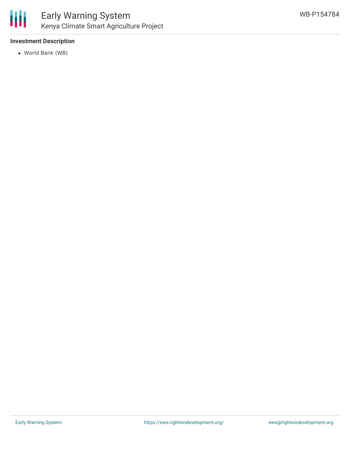

#### **Investment Description**

World Bank (WB)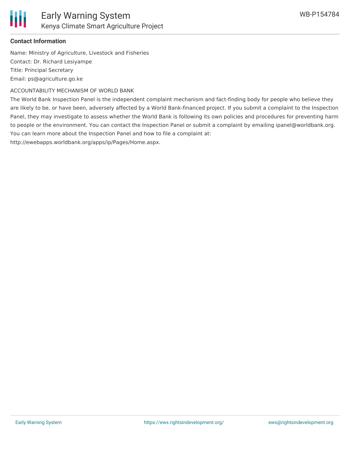

### **Contact Information**

Name: Ministry of Agriculture, Livestock and Fisheries Contact: Dr. Richard Lesiyampe Title: Principal Secretary Email: ps@agriculture.go.ke

ACCOUNTABILITY MECHANISM OF WORLD BANK

The World Bank Inspection Panel is the independent complaint mechanism and fact-finding body for people who believe they are likely to be, or have been, adversely affected by a World Bank-financed project. If you submit a complaint to the Inspection Panel, they may investigate to assess whether the World Bank is following its own policies and procedures for preventing harm to people or the environment. You can contact the Inspection Panel or submit a complaint by emailing ipanel@worldbank.org. You can learn more about the Inspection Panel and how to file a complaint at: http://ewebapps.worldbank.org/apps/ip/Pages/Home.aspx.